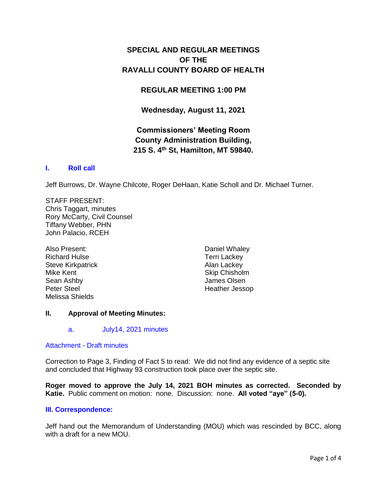# **SPECIAL AND REGULAR MEETINGS OF THE RAVALLI COUNTY BOARD OF HEALTH**

## **REGULAR MEETING 1:00 PM**

**Wednesday, August 11, 2021**

# **Commissioners' Meeting Room County Administration Building, 215 S. 4th St, Hamilton, MT 59840.**

### **I. [Roll call](http://ravalli-mt.granicus.com/wordlinkreceiver.php?clip_id=a2591a6f-2c4b-474a-87fe-0327b1090c15&meta_id=8133da88-40b9-4379-bf75-1cfbf798137c&time=10)**

Jeff Burrows, Dr. Wayne Chilcote, Roger DeHaan, Katie Scholl and Dr. Michael Turner.

STAFF PRESENT: Chris Taggart, minutes Rory McCarty, Civil Counsel Tiffany Webber, PHN John Palacio, RCEH

Also Present: Richard Hulse Steve Kirkpatrick Mike Kent Sean Ashby Peter Steel Melissa Shields

Daniel Whaley Terri Lackey Alan Lackey Skip Chisholm James Olsen Heather Jessop

## **II. Approval of Meeting Minutes:**

## a. [July14, 2021 minutes](http://ravalli-mt.granicus.com/wordlinkreceiver.php?clip_id=a2591a6f-2c4b-474a-87fe-0327b1090c15&meta_id=8c88c887-f2ec-4c6d-be23-7de3dc0e1929&time=21)

#### Attachment - [Draft minutes](http://ravalli-mt.granicus.com/DocumentViewer.php?file=ravalli-mt_b8e67a2135d394fdbf3fa7717e086c79.pdf)

Correction to Page 3, Finding of Fact 5 to read: We did not find any evidence of a septic site and concluded that Highway 93 construction took place over the septic site.

**Roger moved to approve the July 14, 2021 BOH minutes as corrected. Seconded by Katie.** Public comment on motion: none. Discussion: none. **All voted "aye" (5-0).**

#### **[III. Correspondence:](http://ravalli-mt.granicus.com/wordlinkreceiver.php?clip_id=a2591a6f-2c4b-474a-87fe-0327b1090c15&meta_id=15408416-6cdd-44f7-a4dc-7a8d710d0f20&time=127)**

Jeff hand out the Memorandum of Understanding (MOU) which was rescinded by BCC, along with a draft for a new MOU.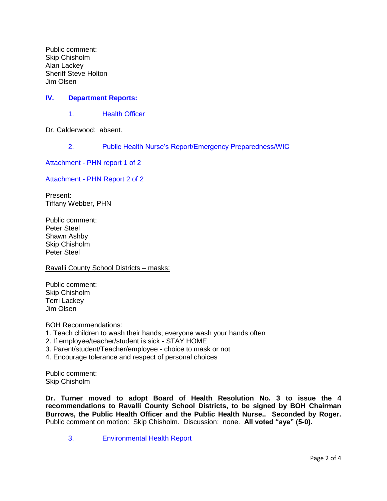Public comment: Skip Chisholm Alan Lackey Sheriff Steve Holton Jim Olsen

## **IV. [Department Reports:](http://ravalli-mt.granicus.com/wordlinkreceiver.php?clip_id=a2591a6f-2c4b-474a-87fe-0327b1090c15&meta_id=4977c9d6-b919-4640-bb03-f212365bdca7&time=1117)**

1. [Health Officer](http://ravalli-mt.granicus.com/wordlinkreceiver.php?clip_id=a2591a6f-2c4b-474a-87fe-0327b1090c15&meta_id=e2792d24-a5b0-47d5-844a-518ae212e59f&time=1119)

Dr. Calderwood: absent.

2. [Public Health Nurse's Report/Emergency Preparedness/WIC](http://ravalli-mt.granicus.com/wordlinkreceiver.php?clip_id=a2591a6f-2c4b-474a-87fe-0327b1090c15&meta_id=1f6bd78a-f6ba-4d76-bb7f-5e41561947ef&time=1128)

Attachment - [PHN report 1 of 2](http://ravalli-mt.granicus.com/DocumentViewer.php?file=ravalli-mt_14bd5a03ffb64560d2bd17d68012ac12.pdf)

Attachment - [PHN Report 2 of 2](http://ravalli-mt.granicus.com/DocumentViewer.php?file=ravalli-mt_851795395a65dd1413995ebc24d40a39.pdf)

Present: Tiffany Webber, PHN

Public comment: Peter Steel Shawn Ashby Skip Chisholm Peter Steel

#### Ravalli County School Districts – masks:

Public comment: Skip Chisholm Terri Lackey Jim Olsen

BOH Recommendations:

- 1. Teach children to wash their hands; everyone wash your hands often
- 2. If employee/teacher/student is sick STAY HOME
- 3. Parent/student/Teacher/employee choice to mask or not
- 4. Encourage tolerance and respect of personal choices

Public comment: Skip Chisholm

**Dr. Turner moved to adopt Board of Health Resolution No. 3 to issue the 4 recommendations to Ravalli County School Districts, to be signed by BOH Chairman Burrows, the Public Health Officer and the Public Health Nurse.. Seconded by Roger.** Public comment on motion: Skip Chisholm. Discussion: none. **All voted "aye" (5-0).**

3. [Environmental Health Report](http://ravalli-mt.granicus.com/wordlinkreceiver.php?clip_id=a2591a6f-2c4b-474a-87fe-0327b1090c15&meta_id=df089016-b453-4623-be40-d670cef4f462&time=5316)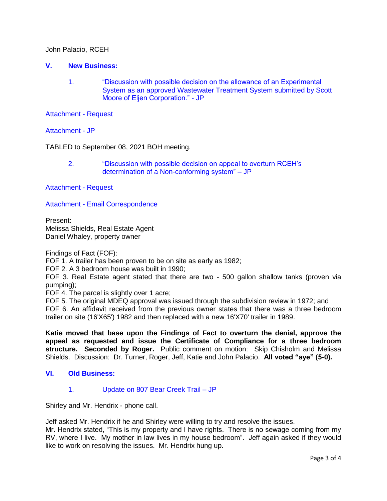John Palacio, RCEH

#### **V. [New Business:](http://ravalli-mt.granicus.com/wordlinkreceiver.php?clip_id=a2591a6f-2c4b-474a-87fe-0327b1090c15&meta_id=46070352-1ff6-4736-824f-8df25851d93c&time=5622)**

1. ["Discussion with possible decision on the allowance of an Experimental](http://ravalli-mt.granicus.com/wordlinkreceiver.php?clip_id=a2591a6f-2c4b-474a-87fe-0327b1090c15&meta_id=38feea08-e410-415c-b1f7-3a6755d05bd7&time=5623)  [System as an approved Wastewater Treatment System submitted by Scott](http://ravalli-mt.granicus.com/wordlinkreceiver.php?clip_id=a2591a6f-2c4b-474a-87fe-0327b1090c15&meta_id=38feea08-e410-415c-b1f7-3a6755d05bd7&time=5623)  [Moore of Eljen Corporation." -](http://ravalli-mt.granicus.com/wordlinkreceiver.php?clip_id=a2591a6f-2c4b-474a-87fe-0327b1090c15&meta_id=38feea08-e410-415c-b1f7-3a6755d05bd7&time=5623) JP

[Attachment -](http://ravalli-mt.granicus.com/DocumentViewer.php?file=ravalli-mt_6d4e139f7d3b1dff7580f6536ad581a7.PDF) Request

[Attachment -](http://ravalli-mt.granicus.com/DocumentViewer.php?file=ravalli-mt_4613803a0812a2bcae1f83b5f7522512.pdf) JP

TABLED to September 08, 2021 BOH meeting.

2. ["Discussion with possible decision on appeal to overturn RCEH's](http://ravalli-mt.granicus.com/wordlinkreceiver.php?clip_id=a2591a6f-2c4b-474a-87fe-0327b1090c15&meta_id=89b5017b-6c1d-4bca-8c0a-8cceab6b57ff&time=5734)  [determination of a Non-conforming system" –](http://ravalli-mt.granicus.com/wordlinkreceiver.php?clip_id=a2591a6f-2c4b-474a-87fe-0327b1090c15&meta_id=89b5017b-6c1d-4bca-8c0a-8cceab6b57ff&time=5734) JP

[Attachment -](http://ravalli-mt.granicus.com/DocumentViewer.php?file=ravalli-mt_67e2d7324f01033cceee95b049f49a01.pdf) Request

Attachment - [Email Correspondence](http://ravalli-mt.granicus.com/DocumentViewer.php?file=ravalli-mt_e7e4e5b9248393c9d7998dd5d5a2f0c4.pdf)

Present: Melissa Shields, Real Estate Agent Daniel Whaley, property owner

Findings of Fact (FOF):

FOF 1. A trailer has been proven to be on site as early as 1982;

FOF 2. A 3 bedroom house was built in 1990;

FOF 3. Real Estate agent stated that there are two - 500 gallon shallow tanks (proven via pumping);

FOF 4. The parcel is slightly over 1 acre;

FOF 5. The original MDEQ approval was issued through the subdivision review in 1972; and FOF 6. An affidavit received from the previous owner states that there was a three bedroom trailer on site (16'X65') 1982 and then replaced with a new 16'X70' trailer in 1989.

**Katie moved that base upon the Findings of Fact to overturn the denial, approve the appeal as requested and issue the Certificate of Compliance for a three bedroom structure. Seconded by Roger.** Public comment on motion: Skip Chisholm and Melissa Shields. Discussion: Dr. Turner, Roger, Jeff, Katie and John Palacio. **All voted "aye" (5-0).**

## **VI. [Old Business:](http://ravalli-mt.granicus.com/wordlinkreceiver.php?clip_id=a2591a6f-2c4b-474a-87fe-0327b1090c15&meta_id=002ae35e-7fd8-4701-8a9f-ad319e684413&time=7081)**

## 1. [Update on 807 Bear Creek Trail –](http://ravalli-mt.granicus.com/wordlinkreceiver.php?clip_id=a2591a6f-2c4b-474a-87fe-0327b1090c15&meta_id=ac89741f-d724-4942-b30a-e5138b5652a3&time=7084) JP

Shirley and Mr. Hendrix - phone call.

Jeff asked Mr. Hendrix if he and Shirley were willing to try and resolve the issues.

Mr. Hendrix stated, "This is my property and I have rights. There is no sewage coming from my RV, where I live. My mother in law lives in my house bedroom". Jeff again asked if they would like to work on resolving the issues. Mr. Hendrix hung up.